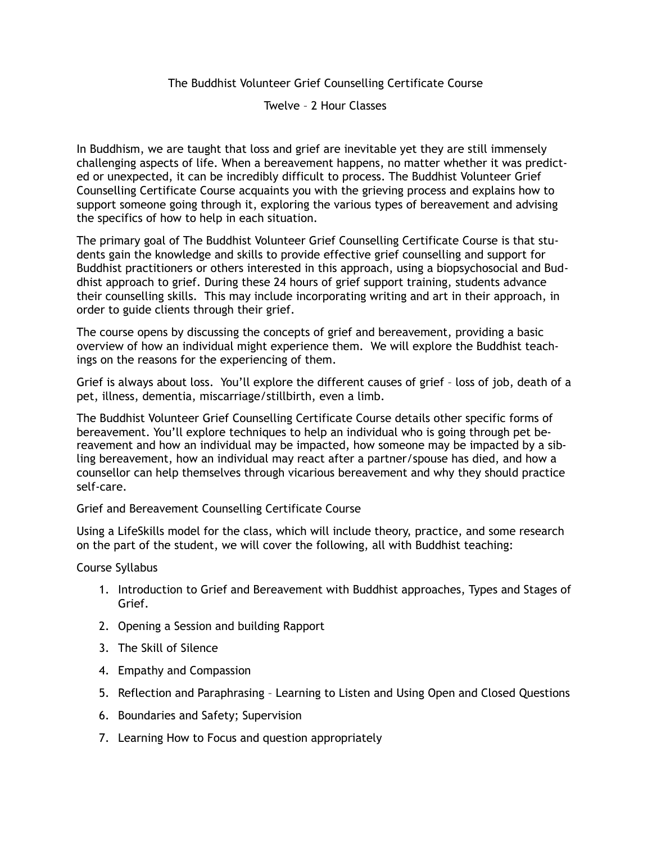## The Buddhist Volunteer Grief Counselling Certificate Course

Twelve – 2 Hour Classes

In Buddhism, we are taught that loss and grief are inevitable yet they are still immensely challenging aspects of life. When a bereavement happens, no matter whether it was predicted or unexpected, it can be incredibly difficult to process. The Buddhist Volunteer Grief Counselling Certificate Course acquaints you with the grieving process and explains how to support someone going through it, exploring the various types of bereavement and advising the specifics of how to help in each situation.

The primary goal of The Buddhist Volunteer Grief Counselling Certificate Course is that students gain the knowledge and skills to provide effective grief counselling and support for Buddhist practitioners or others interested in this approach, using a biopsychosocial and Buddhist approach to grief. During these 24 hours of grief support training, students advance their counselling skills. This may include incorporating writing and art in their approach, in order to guide clients through their grief.

The course opens by discussing the concepts of grief and bereavement, providing a basic overview of how an individual might experience them. We will explore the Buddhist teachings on the reasons for the experiencing of them.

Grief is always about loss. You'll explore the different causes of grief – loss of job, death of a pet, illness, dementia, miscarriage/stillbirth, even a limb.

The Buddhist Volunteer Grief Counselling Certificate Course details other specific forms of bereavement. You'll explore techniques to help an individual who is going through pet bereavement and how an individual may be impacted, how someone may be impacted by a sibling bereavement, how an individual may react after a partner/spouse has died, and how a counsellor can help themselves through vicarious bereavement and why they should practice self-care.

## Grief and Bereavement Counselling Certificate Course

Using a LifeSkills model for the class, which will include theory, practice, and some research on the part of the student, we will cover the following, all with Buddhist teaching:

## Course Syllabus

- 1. Introduction to Grief and Bereavement with Buddhist approaches, Types and Stages of Grief.
- 2. Opening a Session and building Rapport
- 3. The Skill of Silence
- 4. Empathy and Compassion
- 5. Reflection and Paraphrasing Learning to Listen and Using Open and Closed Questions
- 6. Boundaries and Safety; Supervision
- 7. Learning How to Focus and question appropriately